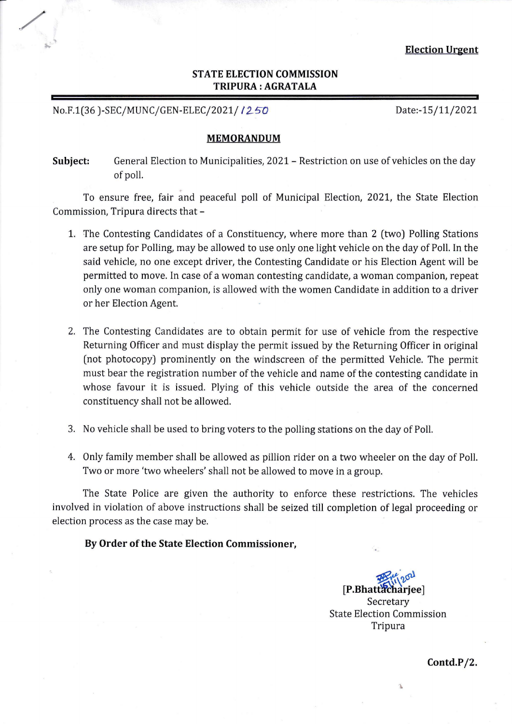# **STATE ELECTION COMMISSION TRIPURA : AGRA TALA**

No.F.1(36)-SEC/MUNC/GEN-ELEC/2021/ 1250 Date:-15/11/2021

/

## **MEMORANDUM**

Subject: General Election to Municipalities, 2021 – Restriction on use of vehicles on the day of poll.

. To ensure free, fair and peaceful poll of Municipal Election, 2021, the State Election Commission, Tripura directs that-

- 1. The Contesting Candidates of a Constituency, where more than 2 (two) Polling Stations are setup for Polling, may be allowed to use only one light vehicle on the day of Poll. In the said vehicle, no one except driver, the Contesting Candidate or his Election Agent will be permitted to move. In case of a woman contesting candidate, a woman companion, repeat only one woman companion, is allowed with the women Candidate in addition to a driver or her Election Agent.
- 2. The Contesting Candidates are to obtain permit for use of vehicle from the respective Returning Officer and must display the permit issued by the Returning Officer in original (not photocopy) prominently on the windscreen of the permitted Vehicle. The permit must bear the registration number of the vehicle and name of the contesting candidate in whose favour it is issued. Plying of this vehicle outside the area of the concerned constituency shall not be allowed.
- 3. No vehicle shall be used to bring voters to the polling stations on the day of Poll.
- 4. Only family member shall be allowed as pillion rider on a two wheeler on the day of Poll. Two or more 'two wheelers' shall not be allowed to move in a group.

The State Police are given the authority to enforce these restrictions. The vehicles involved in violation of above instructions shall be seized till completion of legal proceeding or election process as the case may be.

**By Order of the State Election Commissioner,** 

[P.Bhattacharjee] Secretary State Election Commission Tripura

**Contd.P/2.**